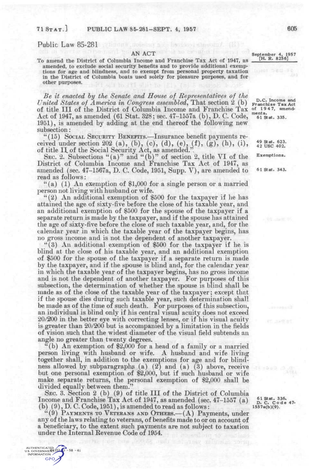Public Law 85-281

## AN **ACT**

To amend the District of Columbia Income and Franchise Tax Act of 1947, as amended, to exclude social security benefits and to provide additional exemptions for age and blindness, and to exempt from personal property taxation in the District of Columbia boats used solely for pleasure purposes, and for other purposes.

*Be it enacted hy the Senate and House of Representatwes of the United States of America in Congress assembled^* That section 2 (b) of title III of the District of Columbia Income and Franchise Tax Act of 1947, as amended (61 Stat. 328; sec. 47-1557a (b), D. C. Code, 1951), is amended by adding at the end thereof the following new subsection:

"(15) SOCIAL SECURITY BENEFITS.—Insurance benefit payments received under section 202 (a), (b), (c), (d), (e),  $(f)$ ,  $(g)$ ,  $(h)$ ,  $(i)$ , of title H. of the Social Security Act, as amended.".

SEC. 2. Subsections "(a)" and "(b)" of section 2, title VI of the District of Columbia Income and Franchise Tax Act of 1947, as amended (sec.  $47-1567a$ , D. C. Code, 1951, Supp. V), are amended to  $61$  stat. 343. read as follows:

"(a) (1) An exemption of \$1,000 for a single person or a married person not living with husband or wife.

"(2) An additional exemption of \$500 for the taxpayer if he has attained the age of sixty-five before the close of his taxable year, and an additional exemption of \$500 for the spouse of the taxpayer if a separate return is made by the taxpayer, and if the spouse has attained the age of sixty-five before the close of such taxable year, and, for the calendar year in which the taxable year of the taxpayer begins, has no gross income and is not the dependent of another taxpayer.

"(3) All additional exemption of \$500 for the taxpayer if he is blind at the close of his taxable year, and an additional exemption of \$500 for the spouse of the taxpayer if a separate return is made by the taxpayer, and if the spouse is blind and, for the calendar year in which the taxable year of the taxpayer begins, has no gross income and is not the dependent of another taxpayer. For purposes of this subsection, the determination of whether the spouse is blind shall be made as of the close of the taxable year of the taxpayer; except that if the spouse dies during such taxaole year, such determination shall be made as of the time of such death. For purposes of this subsection, an individual is blind only if his central visual acuity does not exceed 20/200 in the better eye with correcting lenses, or if his visual acuity is greater than 20/200 but is accompanied by a limitation in the fields of vision such that the widest diameter of the visual field subtends an angle no greater than twenty degrees.

"(b) An exemption of \$2,000 for a head of a family or a married person living with husband or wife. A husband and wife living together shall, in addition to the exemptions for age and for blindness allowed by subparagraphs (a) (2) and (a) (3) above, receive but one personal exemption of \$2,000, but if such husband or wife make separate returns, the personal exemption of \$2,000 shall be divided equally between them."

SEC. 3. Section 2 (b) (9) of title III of the District of Columbia Income and Franchise Tax Act of 1947, as amended (sec. 47-1557 (a) (b) (9), D. C. Code, 1951), is amended to read as follows:

"(9) PAYMENTS TO VETERANS AND OTHERS.—(A) Payments, under any of the laws relating to veterans, of benefits made to or on account of a beneficiary, to the extent such payments are not subject to taxation under the Internal Eevenue Code of 1954.

AUTHENTICATED<br>S. GOVERNMENT 532 - 58 - 41 GPO,

September 4, 1957 [H. R. 8256]

D.C. Income and Franchis e Tax Act of 19 4 7, amend-ments. 61 Stat. 335.

49 Stat. 623.<br>42 USC 402.

Exemptions.

61 Stat. 336.<br>D. C. Code 47.<br>1557a(b)(9).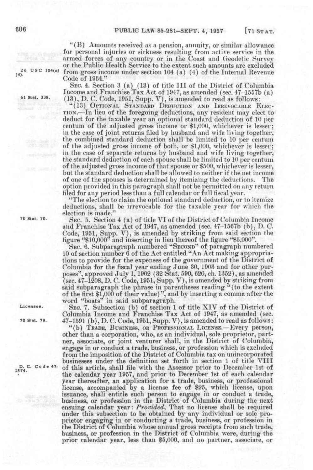"(B) Amounts received as a pension, annuity, or similar allowance for personal injuries or sickness resulting from active service in the armed forces of any country or in the Coast and Geodetic Survey or the Public Health Service to the extent such amounts are excluded  $26 \text{ US C } 104(a)$  from gross income under section 104 (a) (4) of the Internal Revenue Code of 1954."

SEC. 4. Section 3 (a) (13) of title III of the District of Columbia Income and Franchise Tax Act of 1947, as amended (sec. 47-1557b (a) 61 Stat. 338. (13)^ *J)* C. Code, 1951, Supp. V), is amended to read as follows:

"(13) OPTIONAL STANDARD DEDUCTION AND IRREVOCABLE ELEC-TION.—In lieu of the foregoing deductions, any resident may elect to deduct for the taxable year an optional standard deduction of 10 per centum of the adjusted gross income or \$1,000, whichever is lesser; in the case of joint returns filed by husband and wife living together, the combined standard deduction shall be limited to 10 per centum of the adjusted gross income of both, or \$1,000, whichever is lesser; in the case of separate returns by husband and wife living together, the standard deduction of each spouse shall be limited to 10 per centum of the adjusted gross income of that spouse or \$500, whichever is lesser, but the standard deduction shall be allowed to neither if the net income of one of the spouses is determined by itemizing the deductions. The option provided in this paragraph shall not be permitted on any return filed for any period less than a full calendar or full fiscal year.

"The election to claim the optional standard deduction, or to itemize deductions, shall be irrevocable for the taxable year for which the election is made."'

70 Stat. 70. gj,(. 5 Section 4 (a) of title VI of the District of Columbia Income and Franchise Tax Act of 1947, as amended (sec. 47-1567b (b), D. C. Code, 1951, Supp. V), is amended by striking from said section the figure "\$10,000'\* and inserting in lieu thereof the figure "\$5,000".

SEC. 6. Subparagraph numbered "SECOND" of paragraph numbered 10 of section number 6 of the Act entitled "An Act making appropriations to provide for the expenses of the government of the District of Columbia for the fiscal year ending June 30, 1903 and for other purposes", approved July 1,1902 (32 Stat. 590, 620, ch. 1352), as amended (sec. 47-1208, D. C. Code, 1951, Supp. V), is amended by striking from said subparagraph the phrase in parentheses reading "(to the extent of the first \$1,000 of their value)", and by inserting a comma after tlie w^ord "boats" in said subparagraph.

Licenses. SEC. 7. Subsection (b) of section 1 of title XIV of the District of Columbia Income and Franchise Tax Act of 1947, as amended (sec. 70 Stat. 79.  $47-1591$  (b), D. C. Code, 1951, Supp. V), is amended to read as follows:

"(b) TRADE, BUSINESS, OR PROFESSIONAL LICENSE.-Every person, other than a corporation, who, as an individual, sole proprietor, partner, associate, or joint venturer shall, in the District of Columbia, engage in or conduct a trade, business, or profession which is excluded from the imposition of the District of Columbia tax on unincorporated businesses under the definition set forth in section 1 of title VIII B. C. Code 47- of this article, shall file with the Assessor prior to December 1st of the calendar year 1957, and prior to December 1st of each calendar year thereafter, an application for a trade, business, or professional license, accompanied by a license fee of \$25, which license, upon issuance, shall entitle such person to engage in or conduct a trade, business, or profession in the District of Columbia during the next ensuing calendar year: *Provided*, That no license shall be required under this subsection to be obtained by any individual or sole proprietor engaging in or conducting a trade, business, or profession in the District of Columbia whose annual gross receipts from such trade, business, or profession in the District of Columbia were, during the prior calendar year, less than \$5,000, and no partner, associate, or